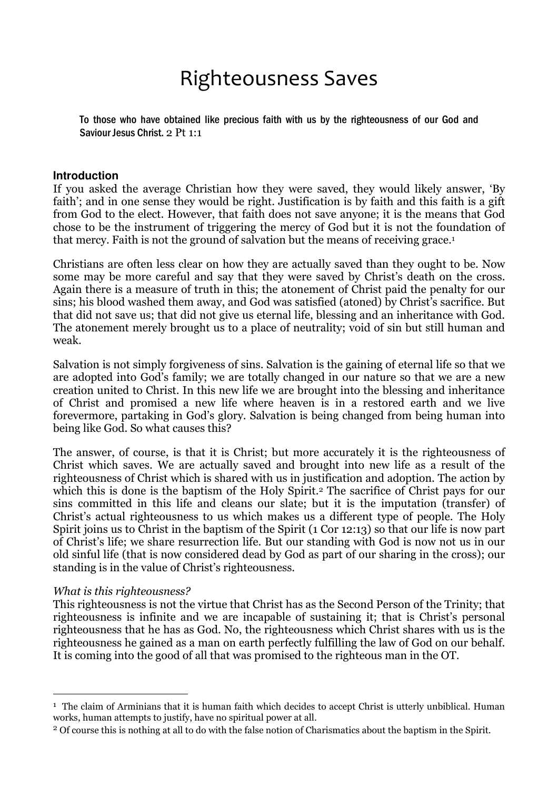# Righteousness Saves

To those who have obtained like precious faith with us by the righteousness of our God and Saviour Jesus Christ. 2 Pt 1:1

#### **Introduction**

If you asked the average Christian how they were saved, they would likely answer, 'By faith'; and in one sense they would be right. Justification is by faith and this faith is a gift from God to the elect. However, that faith does not save anyone; it is the means that God chose to be the instrument of triggering the mercy of God but it is not the foundation of that mercy. Faith is not the ground of salvation but the means of receiving grace.<sup>1</sup>

Christians are often less clear on how they are actually saved than they ought to be. Now some may be more careful and say that they were saved by Christ's death on the cross. Again there is a measure of truth in this; the atonement of Christ paid the penalty for our sins; his blood washed them away, and God was satisfied (atoned) by Christ's sacrifice. But that did not save us; that did not give us eternal life, blessing and an inheritance with God. The atonement merely brought us to a place of neutrality; void of sin but still human and weak.

Salvation is not simply forgiveness of sins. Salvation is the gaining of eternal life so that we are adopted into God's family; we are totally changed in our nature so that we are a new creation united to Christ. In this new life we are brought into the blessing and inheritance of Christ and promised a new life where heaven is in a restored earth and we live forevermore, partaking in God's glory. Salvation is being changed from being human into being like God. So what causes this?

The answer, of course, is that it is Christ; but more accurately it is the righteousness of Christ which saves. We are actually saved and brought into new life as a result of the righteousness of Christ which is shared with us in justification and adoption. The action by which this is done is the baptism of the Holy Spirit.<sup>2</sup> The sacrifice of Christ pays for our sins committed in this life and cleans our slate; but it is the imputation (transfer) of Christ's actual righteousness to us which makes us a different type of people. The Holy Spirit joins us to Christ in the baptism of the Spirit (1 Cor 12:13) so that our life is now part of Christ's life; we share resurrection life. But our standing with God is now not us in our old sinful life (that is now considered dead by God as part of our sharing in the cross); our standing is in the value of Christ's righteousness.

#### What is this righteousness?

 $\overline{a}$ 

This righteousness is not the virtue that Christ has as the Second Person of the Trinity; that righteousness is infinite and we are incapable of sustaining it; that is Christ's personal righteousness that he has as God. No, the righteousness which Christ shares with us is the righteousness he gained as a man on earth perfectly fulfilling the law of God on our behalf. It is coming into the good of all that was promised to the righteous man in the OT.

<sup>&</sup>lt;sup>1</sup> The claim of Arminians that it is human faith which decides to accept Christ is utterly unbiblical. Human works, human attempts to justify, have no spiritual power at all.

<sup>2</sup> Of course this is nothing at all to do with the false notion of Charismatics about the baptism in the Spirit.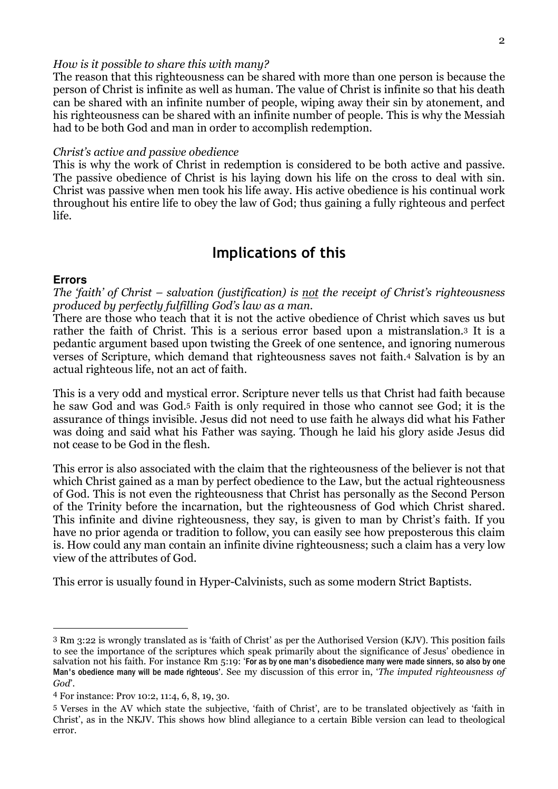#### How is it possible to share this with many?

The reason that this righteousness can be shared with more than one person is because the person of Christ is infinite as well as human. The value of Christ is infinite so that his death can be shared with an infinite number of people, wiping away their sin by atonement, and his righteousness can be shared with an infinite number of people. This is why the Messiah had to be both God and man in order to accomplish redemption.

#### Christ's active and passive obedience

This is why the work of Christ in redemption is considered to be both active and passive. The passive obedience of Christ is his laying down his life on the cross to deal with sin. Christ was passive when men took his life away. His active obedience is his continual work throughout his entire life to obey the law of God; thus gaining a fully righteous and perfect life.

# Implications of this

#### **Errors**

 $\overline{a}$ 

The 'faith' of Christ – salvation (justification) is not the receipt of Christ's righteousness produced by perfectly fulfilling God's law as a man.

There are those who teach that it is not the active obedience of Christ which saves us but rather the faith of Christ. This is a serious error based upon a mistranslation.3 It is a pedantic argument based upon twisting the Greek of one sentence, and ignoring numerous verses of Scripture, which demand that righteousness saves not faith.4 Salvation is by an actual righteous life, not an act of faith.

This is a very odd and mystical error. Scripture never tells us that Christ had faith because he saw God and was God.<sup>5</sup> Faith is only required in those who cannot see God; it is the assurance of things invisible. Jesus did not need to use faith he always did what his Father was doing and said what his Father was saying. Though he laid his glory aside Jesus did not cease to be God in the flesh.

This error is also associated with the claim that the righteousness of the believer is not that which Christ gained as a man by perfect obedience to the Law, but the actual righteousness of God. This is not even the righteousness that Christ has personally as the Second Person of the Trinity before the incarnation, but the righteousness of God which Christ shared. This infinite and divine righteousness, they say, is given to man by Christ's faith. If you have no prior agenda or tradition to follow, you can easily see how preposterous this claim is. How could any man contain an infinite divine righteousness; such a claim has a very low view of the attributes of God.

This error is usually found in Hyper-Calvinists, such as some modern Strict Baptists.

<sup>3</sup> Rm 3:22 is wrongly translated as is 'faith of Christ' as per the Authorised Version (KJV). This position fails to see the importance of the scriptures which speak primarily about the significance of Jesus' obedience in salvation not his faith. For instance Rm 5:19: 'For as by one man's disobedience many were made sinners, so also by one Man's obedience many will be made righteous'. See my discussion of this error in, 'The imputed righteousness of God'.

<sup>4</sup> For instance: Prov 10:2, 11:4, 6, 8, 19, 30.

<sup>5</sup> Verses in the AV which state the subjective, 'faith of Christ', are to be translated objectively as 'faith in Christ', as in the NKJV. This shows how blind allegiance to a certain Bible version can lead to theological error.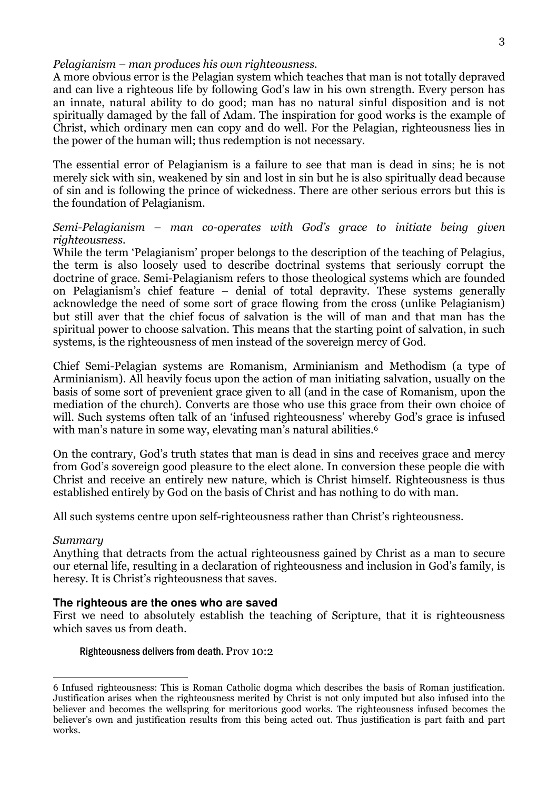#### Pelagianism – man produces his own righteousness.

A more obvious error is the Pelagian system which teaches that man is not totally depraved and can live a righteous life by following God's law in his own strength. Every person has an innate, natural ability to do good; man has no natural sinful disposition and is not spiritually damaged by the fall of Adam. The inspiration for good works is the example of Christ, which ordinary men can copy and do well. For the Pelagian, righteousness lies in the power of the human will; thus redemption is not necessary.

The essential error of Pelagianism is a failure to see that man is dead in sins; he is not merely sick with sin, weakened by sin and lost in sin but he is also spiritually dead because of sin and is following the prince of wickedness. There are other serious errors but this is the foundation of Pelagianism.

#### Semi-Pelagianism – man co-operates with God's grace to initiate being given righteousness.

While the term 'Pelagianism' proper belongs to the description of the teaching of Pelagius, the term is also loosely used to describe doctrinal systems that seriously corrupt the doctrine of grace. Semi-Pelagianism refers to those theological systems which are founded on Pelagianism's chief feature – denial of total depravity. These systems generally acknowledge the need of some sort of grace flowing from the cross (unlike Pelagianism) but still aver that the chief focus of salvation is the will of man and that man has the spiritual power to choose salvation. This means that the starting point of salvation, in such systems, is the righteousness of men instead of the sovereign mercy of God.

Chief Semi-Pelagian systems are Romanism, Arminianism and Methodism (a type of Arminianism). All heavily focus upon the action of man initiating salvation, usually on the basis of some sort of prevenient grace given to all (and in the case of Romanism, upon the mediation of the church). Converts are those who use this grace from their own choice of will. Such systems often talk of an 'infused righteousness' whereby God's grace is infused with man's nature in some way, elevating man's natural abilities.<sup>6</sup>

On the contrary, God's truth states that man is dead in sins and receives grace and mercy from God's sovereign good pleasure to the elect alone. In conversion these people die with Christ and receive an entirely new nature, which is Christ himself. Righteousness is thus established entirely by God on the basis of Christ and has nothing to do with man.

All such systems centre upon self-righteousness rather than Christ's righteousness.

#### Summary

Anything that detracts from the actual righteousness gained by Christ as a man to secure our eternal life, resulting in a declaration of righteousness and inclusion in God's family, is heresy. It is Christ's righteousness that saves.

#### **The righteous are the ones who are saved**

First we need to absolutely establish the teaching of Scripture, that it is righteousness which saves us from death.

#### Righteousness delivers from death. Prov 10:2

 $\overline{a}$ 6 Infused righteousness: This is Roman Catholic dogma which describes the basis of Roman justification. Justification arises when the righteousness merited by Christ is not only imputed but also infused into the believer and becomes the wellspring for meritorious good works. The righteousness infused becomes the believer's own and justification results from this being acted out. Thus justification is part faith and part works.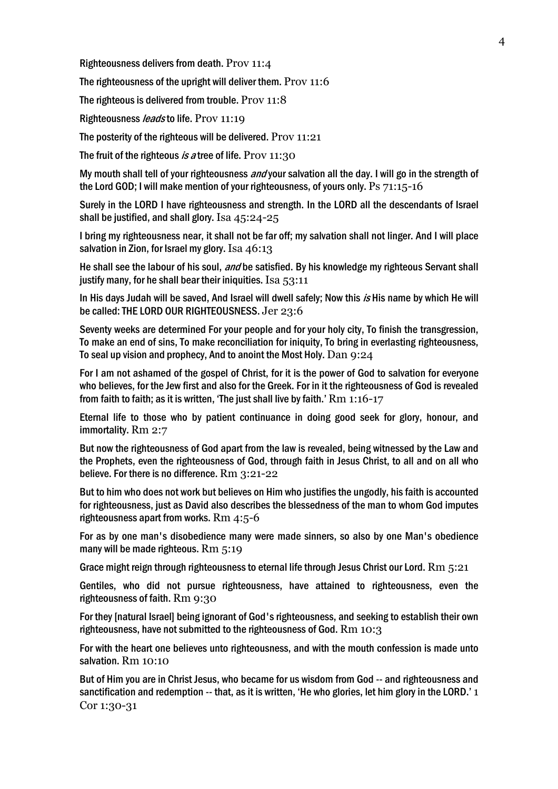Righteousness delivers from death. Prov 11:4

The righteousness of the upright will deliver them. Prov 11:6

The righteous is delivered from trouble. Prov 11:8

Righteousness *leads* to life. Prov 11:19

The posterity of the righteous will be delivered. Prov 11:21

The fruit of the righteous is a tree of life. Prov  $11:30$ 

My mouth shall tell of your righteousness *and* your salvation all the day. I will go in the strength of the Lord GOD; I will make mention of your righteousness, of yours only. Ps 71:15-16

Surely in the LORD I have righteousness and strength. In the LORD all the descendants of Israel shall be justified, and shall glory. Isa 45:24-25

I bring my righteousness near, it shall not be far off; my salvation shall not linger. And I will place salvation in Zion, for Israel my glory. Isa 46:13

He shall see the labour of his soul, *and* be satisfied. By his knowledge my righteous Servant shall justify many, for he shall bear their iniquities. Isa 53:11

In His days Judah will be saved, And Israel will dwell safely; Now this is His name by which He will be called: THE LORD OUR RIGHTEOUSNESS. Jer 23:6

Seventy weeks are determined For your people and for your holy city, To finish the transgression, To make an end of sins, To make reconciliation for iniquity, To bring in everlasting righteousness, To seal up vision and prophecy, And to anoint the Most Holy. Dan 9:24

For I am not ashamed of the gospel of Christ, for it is the power of God to salvation for everyone who believes, for the Jew first and also for the Greek. For in it the righteousness of God is revealed from faith to faith; as it is written, 'The just shall live by faith.' Rm 1:16-17

Eternal life to those who by patient continuance in doing good seek for glory, honour, and immortality. Rm 2:7

But now the righteousness of God apart from the law is revealed, being witnessed by the Law and the Prophets, even the righteousness of God, through faith in Jesus Christ, to all and on all who believe. For there is no difference. Rm 3:21-22

But to him who does not work but believes on Him who justifies the ungodly, his faith is accounted for righteousness, just as David also describes the blessedness of the man to whom God imputes righteousness apart from works. Rm 4:5-6

For as by one man's disobedience many were made sinners, so also by one Man's obedience many will be made righteous. Rm 5:19

Grace might reign through righteousness to eternal life through Jesus Christ our Lord. Rm  $5:21$ 

Gentiles, who did not pursue righteousness, have attained to righteousness, even the righteousness of faith. Rm 9:30

For they [natural Israel] being ignorant of God's righteousness, and seeking to establish their own righteousness, have not submitted to the righteousness of God. Rm 10:3

For with the heart one believes unto righteousness, and with the mouth confession is made unto salvation. Rm 10:10

But of Him you are in Christ Jesus, who became for us wisdom from God -- and righteousness and sanctification and redemption -- that, as it is written, 'He who glories, let him glory in the LORD.' 1 Cor 1:30-31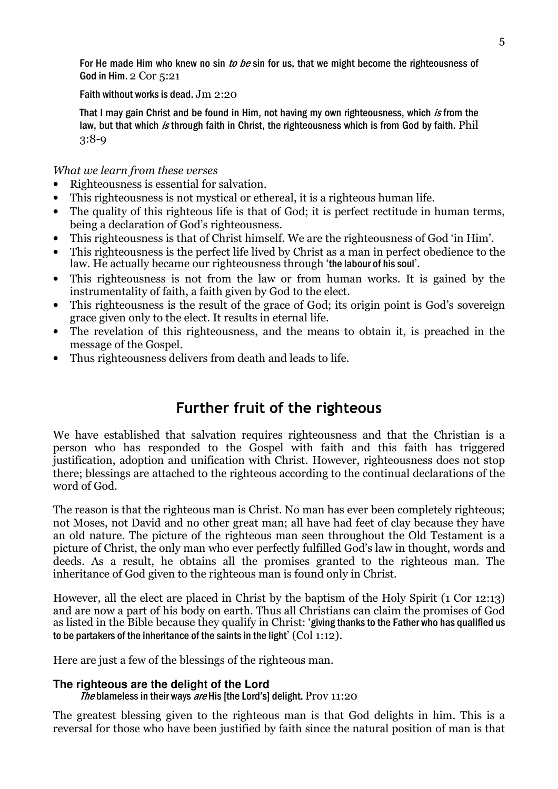For He made Him who knew no sin to be sin for us, that we might become the righteousness of God in Him. 2 Cor 5:21

#### Faith without works is dead. Jm 2:20

That I may gain Christ and be found in Him, not having my own righteousness, which is from the law, but that which is through faith in Christ, the righteousness which is from God by faith. Phil 3:8-9

# What we learn from these verses

- Righteousness is essential for salvation.
- This righteousness is not mystical or ethereal, it is a righteous human life.
- The quality of this righteous life is that of God; it is perfect rectitude in human terms, being a declaration of God's righteousness.
- This righteousness is that of Christ himself. We are the righteousness of God 'in Him'.
- This righteousness is the perfect life lived by Christ as a man in perfect obedience to the law. He actually became our righteousness through 'the labour of his soul'.
- This righteousness is not from the law or from human works. It is gained by the instrumentality of faith, a faith given by God to the elect.
- This righteousness is the result of the grace of God; its origin point is God's sovereign grace given only to the elect. It results in eternal life.
- The revelation of this righteousness, and the means to obtain it, is preached in the message of the Gospel.
- Thus righteousness delivers from death and leads to life.

# Further fruit of the righteous

We have established that salvation requires righteousness and that the Christian is a person who has responded to the Gospel with faith and this faith has triggered justification, adoption and unification with Christ. However, righteousness does not stop there; blessings are attached to the righteous according to the continual declarations of the word of God.

The reason is that the righteous man is Christ. No man has ever been completely righteous; not Moses, not David and no other great man; all have had feet of clay because they have an old nature. The picture of the righteous man seen throughout the Old Testament is a picture of Christ, the only man who ever perfectly fulfilled God's law in thought, words and deeds. As a result, he obtains all the promises granted to the righteous man. The inheritance of God given to the righteous man is found only in Christ.

However, all the elect are placed in Christ by the baptism of the Holy Spirit (1 Cor 12:13) and are now a part of his body on earth. Thus all Christians can claim the promises of God as listed in the Bible because they qualify in Christ: 'giving thanks to the Father who has qualified us to be partakers of the inheritance of the saints in the light' (Col 1:12).

Here are just a few of the blessings of the righteous man.

## **The righteous are the delight of the Lord**

The blameless in their ways are His [the Lord's] delight. Prov  $11:20$ 

The greatest blessing given to the righteous man is that God delights in him. This is a reversal for those who have been justified by faith since the natural position of man is that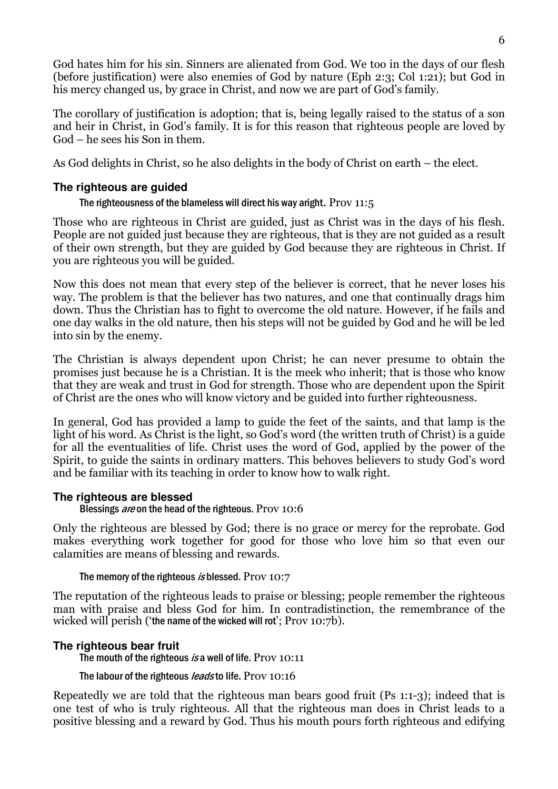God hates him for his sin. Sinners are alienated from God. We too in the days of our flesh (before justification) were also enemies of God by nature (Eph 2:3; Col 1:21); but God in his mercy changed us, by grace in Christ, and now we are part of God's family.

The corollary of justification is adoption; that is, being legally raised to the status of a son and heir in Christ, in God's family. It is for this reason that righteous people are loved by God – he sees his Son in them.

As God delights in Christ, so he also delights in the body of Christ on earth – the elect.

# **The righteous are guided**

The righteousness of the blameless will direct his way aright. Prov 11:5

Those who are righteous in Christ are guided, just as Christ was in the days of his flesh. People are not guided just because they are righteous, that is they are not guided as a result of their own strength, but they are guided by God because they are righteous in Christ. If you are righteous you will be guided.

Now this does not mean that every step of the believer is correct, that he never loses his way. The problem is that the believer has two natures, and one that continually drags him down. Thus the Christian has to fight to overcome the old nature. However, if he fails and one day walks in the old nature, then his steps will not be guided by God and he will be led into sin by the enemy.

The Christian is always dependent upon Christ; he can never presume to obtain the promises just because he is a Christian. It is the meek who inherit; that is those who know that they are weak and trust in God for strength. Those who are dependent upon the Spirit of Christ are the ones who will know victory and be guided into further righteousness.

In general, God has provided a lamp to guide the feet of the saints, and that lamp is the light of his word. As Christ is the light, so God's word (the written truth of Christ) is a guide for all the eventualities of life. Christ uses the word of God, applied by the power of the Spirit, to guide the saints in ordinary matters. This behoves believers to study God's word and be familiar with its teaching in order to know how to walk right.

# **The righteous are blessed**

Blessings *are* on the head of the righteous. Prov 10:6

Only the righteous are blessed by God; there is no grace or mercy for the reprobate. God makes everything work together for good for those who love him so that even our calamities are means of blessing and rewards.

## The memory of the righteous *is* blessed. Prov 10:7

The reputation of the righteous leads to praise or blessing; people remember the righteous man with praise and bless God for him. In contradistinction, the remembrance of the wicked will perish ('the name of the wicked will rot'; Prov 10:7b).

# **The righteous bear fruit**

The mouth of the righteous is a well of life. Prov 10:11

The labour of the righteous *leads* to life. Prov 10:16

Repeatedly we are told that the righteous man bears good fruit (Ps 1:1-3); indeed that is one test of who is truly righteous. All that the righteous man does in Christ leads to a positive blessing and a reward by God. Thus his mouth pours forth righteous and edifying